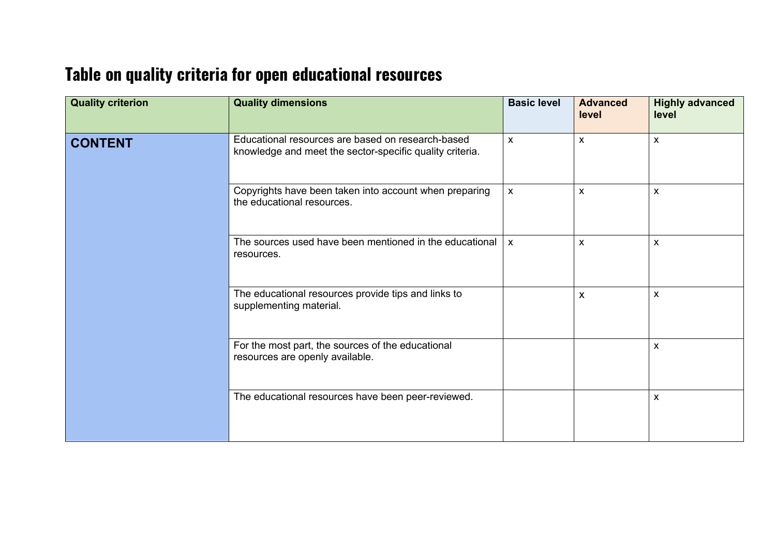## **Table on quality criteria for open educational resources**

| <b>Quality criterion</b> | <b>Quality dimensions</b>                                                                                     | <b>Basic level</b> | <b>Advanced</b><br>level  | <b>Highly advanced</b><br>level |
|--------------------------|---------------------------------------------------------------------------------------------------------------|--------------------|---------------------------|---------------------------------|
| <b>CONTENT</b>           | Educational resources are based on research-based<br>knowledge and meet the sector-specific quality criteria. | $\mathsf{x}$       | X                         | X                               |
|                          | Copyrights have been taken into account when preparing<br>the educational resources.                          | $\mathsf{x}$       | X                         | X                               |
|                          | The sources used have been mentioned in the educational<br>resources.                                         | $\mathsf{x}$       | $\pmb{\mathsf{X}}$        | $\mathsf{x}$                    |
|                          | The educational resources provide tips and links to<br>supplementing material.                                |                    | $\boldsymbol{\mathsf{X}}$ | $\mathsf{x}$                    |
|                          | For the most part, the sources of the educational<br>resources are openly available.                          |                    |                           | $\pmb{\mathsf{X}}$              |
|                          | The educational resources have been peer-reviewed.                                                            |                    |                           | X                               |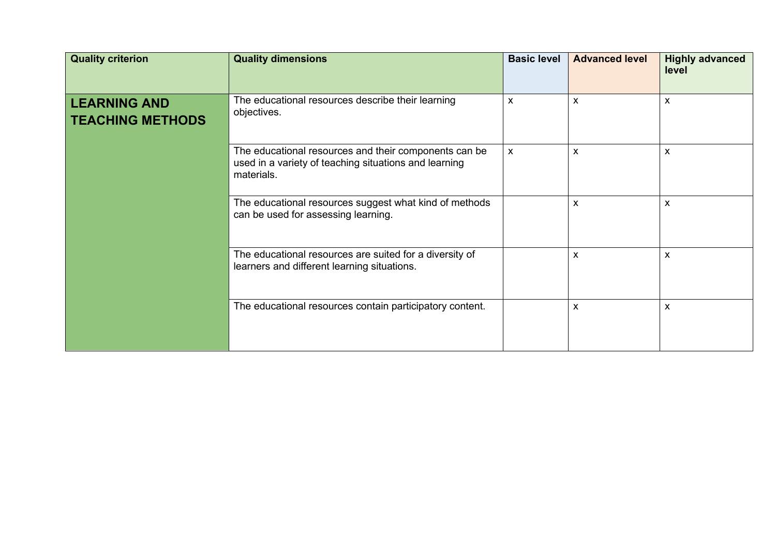| <b>Quality criterion</b>                       | <b>Quality dimensions</b>                                                                                                    | <b>Basic level</b>        | <b>Advanced level</b> | <b>Highly advanced</b><br>level |
|------------------------------------------------|------------------------------------------------------------------------------------------------------------------------------|---------------------------|-----------------------|---------------------------------|
| <b>LEARNING AND</b><br><b>TEACHING METHODS</b> | The educational resources describe their learning<br>objectives.                                                             | X                         | X                     | $\pmb{\times}$                  |
|                                                | The educational resources and their components can be<br>used in a variety of teaching situations and learning<br>materials. | $\boldsymbol{\mathsf{X}}$ | X                     | $\boldsymbol{\mathsf{x}}$       |
|                                                | The educational resources suggest what kind of methods<br>can be used for assessing learning.                                |                           | X                     | $\boldsymbol{\mathsf{X}}$       |
|                                                | The educational resources are suited for a diversity of<br>learners and different learning situations.                       |                           | X                     | $\boldsymbol{\mathsf{X}}$       |
|                                                | The educational resources contain participatory content.                                                                     |                           | X                     | $\boldsymbol{\mathsf{x}}$       |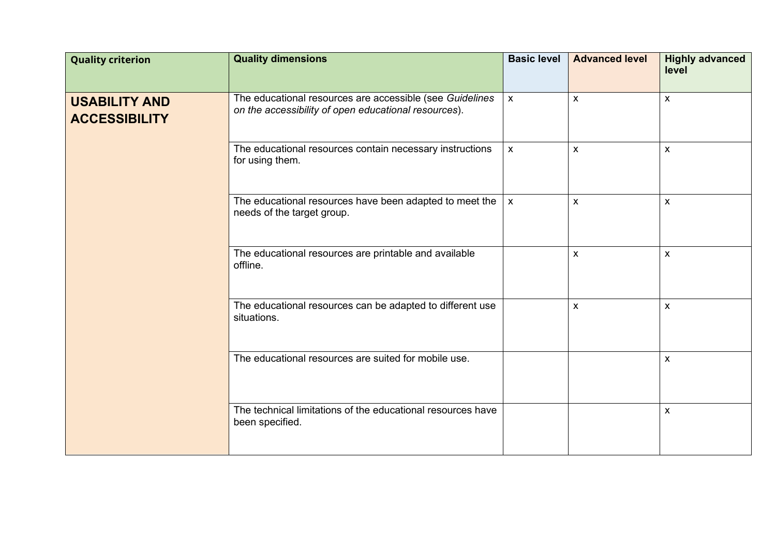| <b>Quality criterion</b>                     | <b>Quality dimensions</b>                                                                                        | <b>Basic level</b> | <b>Advanced level</b> | <b>Highly advanced</b><br>level |
|----------------------------------------------|------------------------------------------------------------------------------------------------------------------|--------------------|-----------------------|---------------------------------|
| <b>USABILITY AND</b><br><b>ACCESSIBILITY</b> | The educational resources are accessible (see Guidelines<br>on the accessibility of open educational resources). | $\mathsf{x}$       | X                     | $\mathsf{X}$                    |
|                                              | The educational resources contain necessary instructions<br>for using them.                                      | $\pmb{\chi}$       | $\pmb{\mathsf{X}}$    | $\pmb{\mathsf{X}}$              |
|                                              | The educational resources have been adapted to meet the $\vert x \vert$<br>needs of the target group.            |                    | $\mathsf{x}$          | $\pmb{\mathsf{X}}$              |
|                                              | The educational resources are printable and available<br>offline.                                                |                    | X                     | X                               |
|                                              | The educational resources can be adapted to different use<br>situations.                                         |                    | $\mathsf{X}$          | $\pmb{\chi}$                    |
|                                              | The educational resources are suited for mobile use.                                                             |                    |                       | $\pmb{\mathsf{X}}$              |
|                                              | The technical limitations of the educational resources have<br>been specified.                                   |                    |                       | X                               |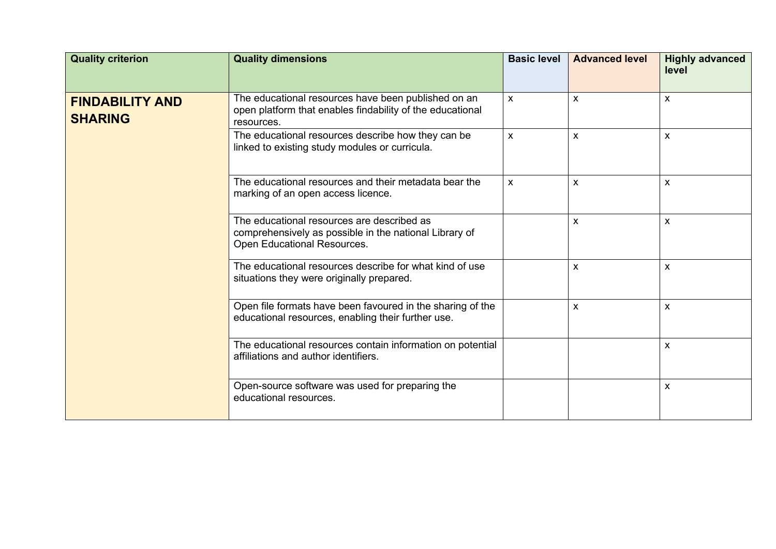| <b>Quality criterion</b>                 | <b>Quality dimensions</b>                                                                                                           | <b>Basic level</b>        | <b>Advanced level</b>     | <b>Highly advanced</b><br>level |
|------------------------------------------|-------------------------------------------------------------------------------------------------------------------------------------|---------------------------|---------------------------|---------------------------------|
| <b>FINDABILITY AND</b><br><b>SHARING</b> | The educational resources have been published on an<br>open platform that enables findability of the educational<br>resources.      | $\mathsf{x}$              | $\mathsf{x}$              | $\mathsf{x}$                    |
|                                          | The educational resources describe how they can be<br>linked to existing study modules or curricula.                                | $\boldsymbol{\mathsf{X}}$ | $\mathsf{x}$              | $\mathsf{x}$                    |
|                                          | The educational resources and their metadata bear the<br>marking of an open access licence.                                         | X                         | $\boldsymbol{\mathsf{X}}$ | X                               |
|                                          | The educational resources are described as<br>comprehensively as possible in the national Library of<br>Open Educational Resources. |                           | X                         | $\boldsymbol{\mathsf{X}}$       |
|                                          | The educational resources describe for what kind of use<br>situations they were originally prepared.                                |                           | X                         | $\mathsf{x}$                    |
|                                          | Open file formats have been favoured in the sharing of the<br>educational resources, enabling their further use.                    |                           | $\mathsf{x}$              | $\mathsf{x}$                    |
|                                          | The educational resources contain information on potential<br>affiliations and author identifiers.                                  |                           |                           | X                               |
|                                          | Open-source software was used for preparing the<br>educational resources.                                                           |                           |                           | $\boldsymbol{\mathsf{X}}$       |